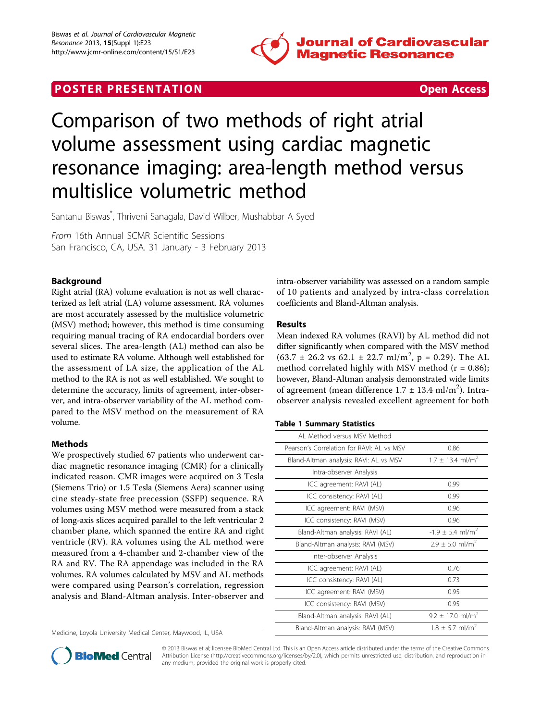

# **POSTER PRESENTATION**



# Comparison of two methods of right atrial volume assessment using cardiac magnetic resonance imaging: area-length method versus multislice volumetric method

Santanu Biswas\* , Thriveni Sanagala, David Wilber, Mushabbar A Syed

From 16th Annual SCMR Scientific Sessions San Francisco, CA, USA. 31 January - 3 February 2013

# Background

Right atrial (RA) volume evaluation is not as well characterized as left atrial (LA) volume assessment. RA volumes are most accurately assessed by the multislice volumetric (MSV) method; however, this method is time consuming requiring manual tracing of RA endocardial borders over several slices. The area-length (AL) method can also be used to estimate RA volume. Although well established for the assessment of LA size, the application of the AL method to the RA is not as well established. We sought to determine the accuracy, limits of agreement, inter-observer, and intra-observer variability of the AL method compared to the MSV method on the measurement of RA volume.

## Methods

We prospectively studied 67 patients who underwent cardiac magnetic resonance imaging (CMR) for a clinically indicated reason. CMR images were acquired on 3 Tesla (Siemens Trio) or 1.5 Tesla (Siemens Aera) scanner using cine steady-state free precession (SSFP) sequence. RA volumes using MSV method were measured from a stack of long-axis slices acquired parallel to the left ventricular 2 chamber plane, which spanned the entire RA and right ventricle (RV). RA volumes using the AL method were measured from a 4-chamber and 2-chamber view of the RA and RV. The RA appendage was included in the RA volumes. RA volumes calculated by MSV and AL methods were compared using Pearson's correlation, regression analysis and Bland-Altman analysis. Inter-observer and

Medicine, Loyola University Medical Center, Maywood, IL, USA

intra-observer variability was assessed on a random sample of 10 patients and analyzed by intra-class correlation coefficients and Bland-Altman analysis.

## Results

Mean indexed RA volumes (RAVI) by AL method did not differ significantly when compared with the MSV method  $(63.7 \pm 26.2 \text{ vs } 62.1 \pm 22.7 \text{ ml/m}^2, p = 0.29)$ . The AL method correlated highly with MSV method ( $r = 0.86$ ); however, Bland-Altman analysis demonstrated wide limits of agreement (mean difference  $1.7 \pm 13.4$  ml/m<sup>2</sup>). Intraobserver analysis revealed excellent agreement for both

#### Table 1 Summary Statistics

| Al Method versus MSV Method               |                                  |
|-------------------------------------------|----------------------------------|
| Pearson's Correlation for RAVI: AL vs MSV | 0.86                             |
| Bland-Altman analysis: RAVI: AL vs MSV    | $1.7 \pm 13.4$ ml/m <sup>2</sup> |
| Intra-observer Analysis                   |                                  |
| ICC agreement: RAVI (AL)                  | 0.99                             |
| ICC consistency: RAVI (AL)                | 0.99                             |
| ICC agreement: RAVI (MSV)                 | 0.96                             |
| ICC consistency: RAVI (MSV)               | 0.96                             |
| Bland-Altman analysis: RAVI (AL)          | $-1.9 \pm 5.4$ ml/m <sup>2</sup> |
| Bland-Altman analysis: RAVI (MSV)         | $2.9 \pm 5.0$ ml/m <sup>2</sup>  |
| Inter-observer Analysis                   |                                  |
| ICC agreement: RAVI (AL)                  | 0.76                             |
| ICC consistency: RAVI (AL)                | 0.73                             |
| ICC agreement: RAVI (MSV)                 | 0.95                             |
| ICC consistency: RAVI (MSV)               | 0.95                             |
| Bland-Altman analysis: RAVI (AL)          | $9.2 \pm 17.0$ ml/m <sup>2</sup> |
| Bland-Altman analysis: RAVI (MSV)         | $1.8 + 5.7$ ml/m <sup>2</sup>    |



© 2013 Biswas et al; licensee BioMed Central Ltd. This is an Open Access article distributed under the terms of the Creative Commons Attribution License [\(http://creativecommons.org/licenses/by/2.0](http://creativecommons.org/licenses/by/2.0)), which permits unrestricted use, distribution, and reproduction in any medium, provided the original work is properly cited.